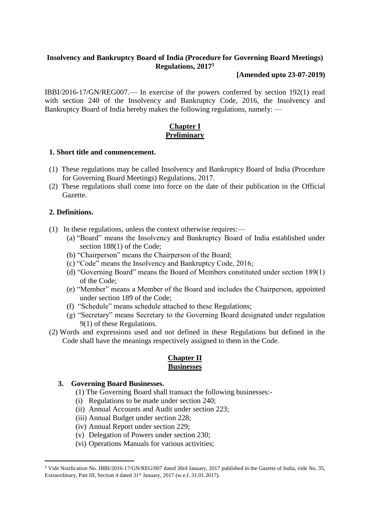# **Insolvency and Bankruptcy Board of India (Procedure for Governing Board Meetings) Regulations, 2017 1**

## **[Amended upto 23-07-2019)**

IBBI/2016-17/GN/REG007.— In exercise of the powers conferred by section 192(1) read with section 240 of the Insolvency and Bankruptcy Code, 2016, the Insolvency and Bankruptcy Board of India hereby makes the following regulations, namely: —

# **Chapter I Preliminary**

## **1. Short title and commencement.**

- (1) These regulations may be called Insolvency and Bankruptcy Board of India (Procedure for Governing Board Meetings) Regulations, 2017.
- (2) These regulations shall come into force on the date of their publication in the Official Gazette.

## **2. Definitions.**

 $\overline{a}$ 

- (1) In these regulations, unless the context otherwise requires:—
	- (a) "Board" means the Insolvency and Bankruptcy Board of India established under section 188(1) of the Code;
	- (b) "Chairperson" means the Chairperson of the Board;
	- (c) "Code" means the Insolvency and Bankruptcy Code, 2016;
	- (d) "Governing Board" means the Board of Members constituted under section 189(1) of the Code;
	- (e) "Member" means a Member of the Board and includes the Chairperson, appointed under section 189 of the Code;
	- (f) "Schedule" means schedule attached to these Regulations;
	- (g) "Secretary" means Secretary to the Governing Board designated under regulation 9(1) of these Regulations.
- (2) Words and expressions used and not defined in these Regulations but defined in the Code shall have the meanings respectively assigned to them in the Code.

## **Chapter II Businesses**

## **3. Governing Board Businesses.**

- (1) The Governing Board shall transact the following businesses:-
- (i) Regulations to be made under section 240;
- (ii) Annual Accounts and Audit under section 223;
- (iii) Annual Budget under section 228;
- (iv) Annual Report under section 229;
- (v) Delegation of Powers under section 230;
- (vi) Operations Manuals for various activities;

<sup>&</sup>lt;sup>1</sup> Vide Notification No. IBBI/2016-17/GN/REG/007 dated 30rd January, 2017 published in the Gazette of India, vide No. 35, Extraordinary, Part III, Section 4 dated 31<sup>st</sup> January, 2017 (w.e.f. 31.01.2017).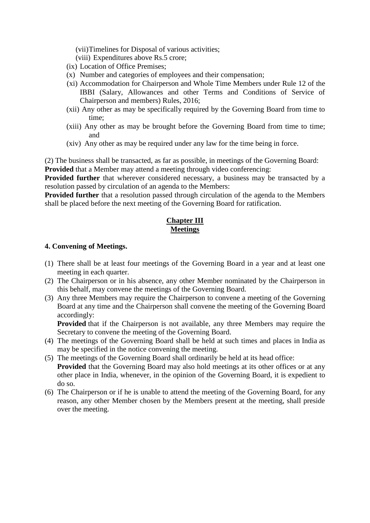(vii)Timelines for Disposal of various activities;

- (viii) Expenditures above Rs.5 crore;
- (ix) Location of Office Premises;
- (x) Number and categories of employees and their compensation;
- (xi) Accommodation for Chairperson and Whole Time Members under Rule 12 of the IBBI (Salary, Allowances and other Terms and Conditions of Service of Chairperson and members) Rules, 2016;
- (xii) Any other as may be specifically required by the Governing Board from time to time;
- (xiii) Any other as may be brought before the Governing Board from time to time; and
- (xiv) Any other as may be required under any law for the time being in force.

(2) The business shall be transacted, as far as possible, in meetings of the Governing Board: **Provided** that a Member may attend a meeting through video conferencing:

**Provided further** that wherever considered necessary, a business may be transacted by a resolution passed by circulation of an agenda to the Members:

**Provided further** that a resolution passed through circulation of the agenda to the Members shall be placed before the next meeting of the Governing Board for ratification.

# **Chapter III Meetings**

## **4. Convening of Meetings.**

- (1) There shall be at least four meetings of the Governing Board in a year and at least one meeting in each quarter.
- (2) The Chairperson or in his absence, any other Member nominated by the Chairperson in this behalf, may convene the meetings of the Governing Board.
- (3) Any three Members may require the Chairperson to convene a meeting of the Governing Board at any time and the Chairperson shall convene the meeting of the Governing Board accordingly:

**Provided** that if the Chairperson is not available, any three Members may require the Secretary to convene the meeting of the Governing Board.

- (4) The meetings of the Governing Board shall be held at such times and places in India as may be specified in the notice convening the meeting.
- (5) The meetings of the Governing Board shall ordinarily be held at its head office: **Provided** that the Governing Board may also hold meetings at its other offices or at any other place in India, whenever, in the opinion of the Governing Board, it is expedient to do so.
- (6) The Chairperson or if he is unable to attend the meeting of the Governing Board, for any reason, any other Member chosen by the Members present at the meeting, shall preside over the meeting.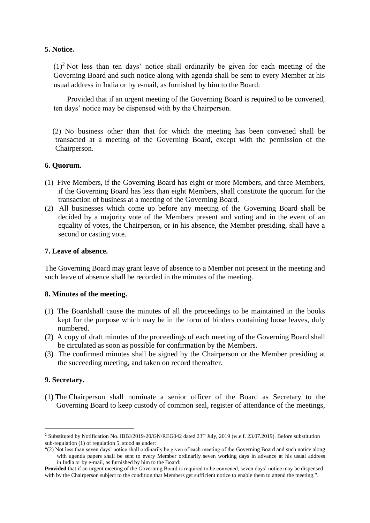## **5. Notice.**

 $(1)^2$  Not less than ten days' notice shall ordinarily be given for each meeting of the Governing Board and such notice along with agenda shall be sent to every Member at his usual address in India or by e-mail, as furnished by him to the Board:

Provided that if an urgent meeting of the Governing Board is required to be convened, ten days' notice may be dispensed with by the Chairperson.

 (2) No business other than that for which the meeting has been convened shall be transacted at a meeting of the Governing Board, except with the permission of the Chairperson.

## **6. Quorum.**

- (1) Five Members, if the Governing Board has eight or more Members, and three Members, if the Governing Board has less than eight Members, shall constitute the quorum for the transaction of business at a meeting of the Governing Board.
- (2) All businesses which come up before any meeting of the Governing Board shall be decided by a majority vote of the Members present and voting and in the event of an equality of votes, the Chairperson, or in his absence, the Member presiding, shall have a second or casting vote.

## **7. Leave of absence.**

The Governing Board may grant leave of absence to a Member not present in the meeting and such leave of absence shall be recorded in the minutes of the meeting.

## **8. Minutes of the meeting.**

- (1) The Boardshall cause the minutes of all the proceedings to be maintained in the books kept for the purpose which may be in the form of binders containing loose leaves, duly numbered.
- (2) A copy of draft minutes of the proceedings of each meeting of the Governing Board shall be circulated as soon as possible for confirmation by the Members.
- (3) The confirmed minutes shall be signed by the Chairperson or the Member presiding at the succeeding meeting, and taken on record thereafter.

## **9. Secretary.**

 $\overline{a}$ 

(1) The Chairperson shall nominate a senior officer of the Board as Secretary to the Governing Board to keep custody of common seal, register of attendance of the meetings,

<sup>&</sup>lt;sup>2</sup> Substituted by Notification No. IBBI/2019-20/GN/REG042 dated 23<sup>rd</sup> July, 2019 (w.e.f. 23.07.2019). Before substitution sub-regulation (1) of regulation 5, stood as under:

<sup>&</sup>quot;(2) Not less than seven days' notice shall ordinarily be given of each meeting of the Governing Board and such notice along with agenda papers shall be sent to every Member ordinarily seven working days in advance at his usual address in India or by e-mail, as furnished by him to the Board:

**Provided** that if an urgent meeting of the Governing Board is required to be convened, seven days' notice may be dispensed with by the Chairperson subject to the condition that Members get sufficient notice to enable them to attend the meeting.".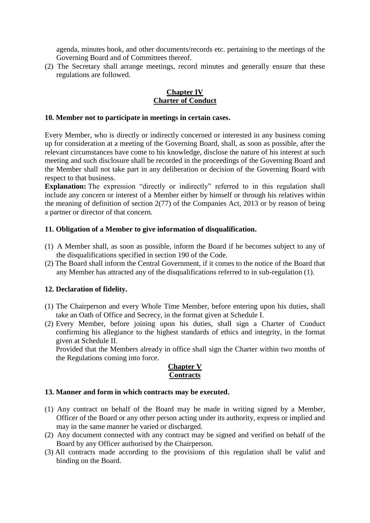agenda, minutes book, and other documents/records etc. pertaining to the meetings of the Governing Board and of Committees thereof.

(2) The Secretary shall arrange meetings, record minutes and generally ensure that these regulations are followed.

## **Chapter IV Charter of Conduct**

#### **10. Member not to participate in meetings in certain cases.**

Every Member, who is directly or indirectly concerned or interested in any business coming up for consideration at a meeting of the Governing Board, shall, as soon as possible, after the relevant circumstances have come to his knowledge, disclose the nature of his interest at such meeting and such disclosure shall be recorded in the proceedings of the Governing Board and the Member shall not take part in any deliberation or decision of the Governing Board with respect to that business.

**Explanation:** The expression "directly or indirectly" referred to in this regulation shall include any concern or interest of a Member either by himself or through his relatives within the meaning of definition of section 2(77) of the Companies Act, 2013 or by reason of being a partner or director of that concern.

## **11. Obligation of a Member to give information of disqualification.**

- (1) A Member shall, as soon as possible, inform the Board if he becomes subject to any of the disqualifications specified in section 190 of the Code.
- (2) The Board shall inform the Central Government, if it comes to the notice of the Board that any Member has attracted any of the disqualifications referred to in sub-regulation (1).

## **12. Declaration of fidelity.**

- (1) The Chairperson and every Whole Time Member, before entering upon his duties, shall take an Oath of Office and Secrecy, in the format given at Schedule I.
- (2) Every Member, before joining upon his duties, shall sign a Charter of Conduct confirming his allegiance to the highest standards of ethics and integrity, in the format given at Schedule II.

Provided that the Members already in office shall sign the Charter within two months of the Regulations coming into force.

## **Chapter V Contracts**

## **13. Manner and form in which contracts may be executed.**

- (1) Any contract on behalf of the Board may be made in writing signed by a Member, Officer of the Board or any other person acting under its authority, express or implied and may in the same manner be varied or discharged.
- (2) Any document connected with any contract may be signed and verified on behalf of the Board by any Officer authorised by the Chairperson.
- (3) All contracts made according to the provisions of this regulation shall be valid and binding on the Board.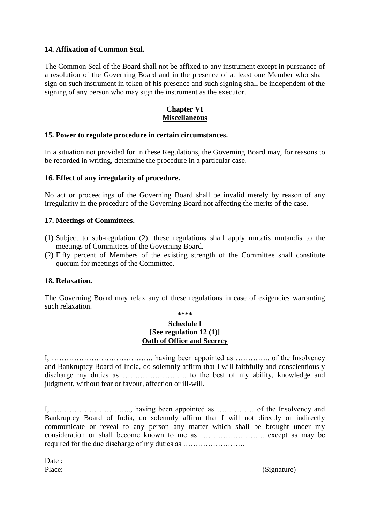## **14. Affixation of Common Seal.**

The Common Seal of the Board shall not be affixed to any instrument except in pursuance of a resolution of the Governing Board and in the presence of at least one Member who shall sign on such instrument in token of his presence and such signing shall be independent of the signing of any person who may sign the instrument as the executor.

## **Chapter VI Miscellaneous**

## **15. Power to regulate procedure in certain circumstances.**

In a situation not provided for in these Regulations, the Governing Board may, for reasons to be recorded in writing, determine the procedure in a particular case.

## **16. Effect of any irregularity of procedure.**

No act or proceedings of the Governing Board shall be invalid merely by reason of any irregularity in the procedure of the Governing Board not affecting the merits of the case.

## **17. Meetings of Committees.**

- (1) Subject to sub-regulation (2), these regulations shall apply mutatis mutandis to the meetings of Committees of the Governing Board.
- (2) Fifty percent of Members of the existing strength of the Committee shall constitute quorum for meetings of the Committee.

## **18. Relaxation.**

The Governing Board may relax any of these regulations in case of exigencies warranting such relaxation.

#### **\*\*\*\***

#### **Schedule I [See regulation 12 (1)] Oath of Office and Secrecy**

I, …………………………………., having been appointed as ………….. of the Insolvency and Bankruptcy Board of India, do solemnly affirm that I will faithfully and conscientiously discharge my duties as …………………….. to the best of my ability, knowledge and judgment, without fear or favour, affection or ill-will.

I, ………………………….., having been appointed as …………… of the Insolvency and Bankruptcy Board of India, do solemnly affirm that I will not directly or indirectly communicate or reveal to any person any matter which shall be brought under my consideration or shall become known to me as …………………….. except as may be required for the due discharge of my duties as …………………….

Date:

Place: (Signature)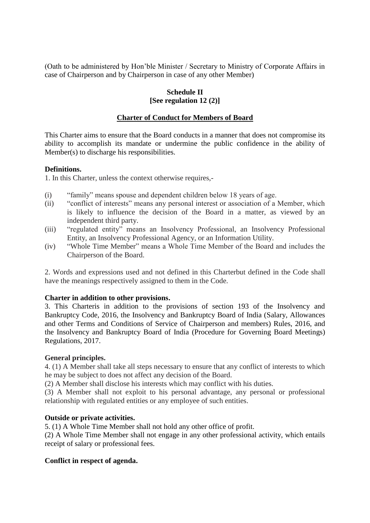(Oath to be administered by Hon'ble Minister / Secretary to Ministry of Corporate Affairs in case of Chairperson and by Chairperson in case of any other Member)

# **Schedule II [See regulation 12 (2)]**

# **Charter of Conduct for Members of Board**

This Charter aims to ensure that the Board conducts in a manner that does not compromise its ability to accomplish its mandate or undermine the public confidence in the ability of Member(s) to discharge his responsibilities.

## **Definitions.**

1. In this Charter, unless the context otherwise requires,-

- (i) "family" means spouse and dependent children below 18 years of age.
- (ii) "conflict of interests" means any personal interest or association of a Member, which is likely to influence the decision of the Board in a matter, as viewed by an independent third party.
- (iii) "regulated entity" means an Insolvency Professional, an Insolvency Professional Entity, an Insolvency Professional Agency, or an Information Utility.
- (iv) "Whole Time Member" means a Whole Time Member of the Board and includes the Chairperson of the Board.

2. Words and expressions used and not defined in this Charterbut defined in the Code shall have the meanings respectively assigned to them in the Code.

## **Charter in addition to other provisions.**

3. This Charteris in addition to the provisions of section 193 of the Insolvency and Bankruptcy Code, 2016, the Insolvency and Bankruptcy Board of India (Salary, Allowances and other Terms and Conditions of Service of Chairperson and members) Rules, 2016, and the Insolvency and Bankruptcy Board of India (Procedure for Governing Board Meetings) Regulations, 2017.

## **General principles.**

4. (1) A Member shall take all steps necessary to ensure that any conflict of interests to which he may be subject to does not affect any decision of the Board.

(2) A Member shall disclose his interests which may conflict with his duties.

(3) A Member shall not exploit to his personal advantage, any personal or professional relationship with regulated entities or any employee of such entities.

## **Outside or private activities.**

5. (1) A Whole Time Member shall not hold any other office of profit.

(2) A Whole Time Member shall not engage in any other professional activity, which entails receipt of salary or professional fees.

## **Conflict in respect of agenda.**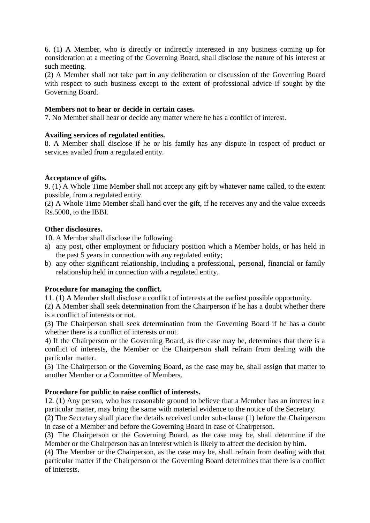6. (1) A Member, who is directly or indirectly interested in any business coming up for consideration at a meeting of the Governing Board, shall disclose the nature of his interest at such meeting.

(2) A Member shall not take part in any deliberation or discussion of the Governing Board with respect to such business except to the extent of professional advice if sought by the Governing Board.

## **Members not to hear or decide in certain cases.**

7. No Member shall hear or decide any matter where he has a conflict of interest.

## **Availing services of regulated entities.**

8. A Member shall disclose if he or his family has any dispute in respect of product or services availed from a regulated entity.

## **Acceptance of gifts.**

9. (1) A Whole Time Member shall not accept any gift by whatever name called, to the extent possible, from a regulated entity.

(2) A Whole Time Member shall hand over the gift, if he receives any and the value exceeds Rs.5000, to the IBBI.

## **Other disclosures.**

10. A Member shall disclose the following:

- a) any post, other employment or fiduciary position which a Member holds, or has held in the past 5 years in connection with any regulated entity;
- b) any other significant relationship, including a professional, personal, financial or family relationship held in connection with a regulated entity.

# **Procedure for managing the conflict.**

11. (1) A Member shall disclose a conflict of interests at the earliest possible opportunity.

(2) A Member shall seek determination from the Chairperson if he has a doubt whether there is a conflict of interests or not.

(3) The Chairperson shall seek determination from the Governing Board if he has a doubt whether there is a conflict of interests or not.

4) If the Chairperson or the Governing Board, as the case may be, determines that there is a conflict of interests, the Member or the Chairperson shall refrain from dealing with the particular matter.

(5) The Chairperson or the Governing Board, as the case may be, shall assign that matter to another Member or a Committee of Members.

## **Procedure for public to raise conflict of interests.**

12. (1) Any person, who has reasonable ground to believe that a Member has an interest in a particular matter, may bring the same with material evidence to the notice of the Secretary.

(2) The Secretary shall place the details received under sub-clause (1) before the Chairperson in case of a Member and before the Governing Board in case of Chairperson.

(3) The Chairperson or the Governing Board, as the case may be, shall determine if the Member or the Chairperson has an interest which is likely to affect the decision by him.

(4) The Member or the Chairperson, as the case may be, shall refrain from dealing with that particular matter if the Chairperson or the Governing Board determines that there is a conflict of interests.